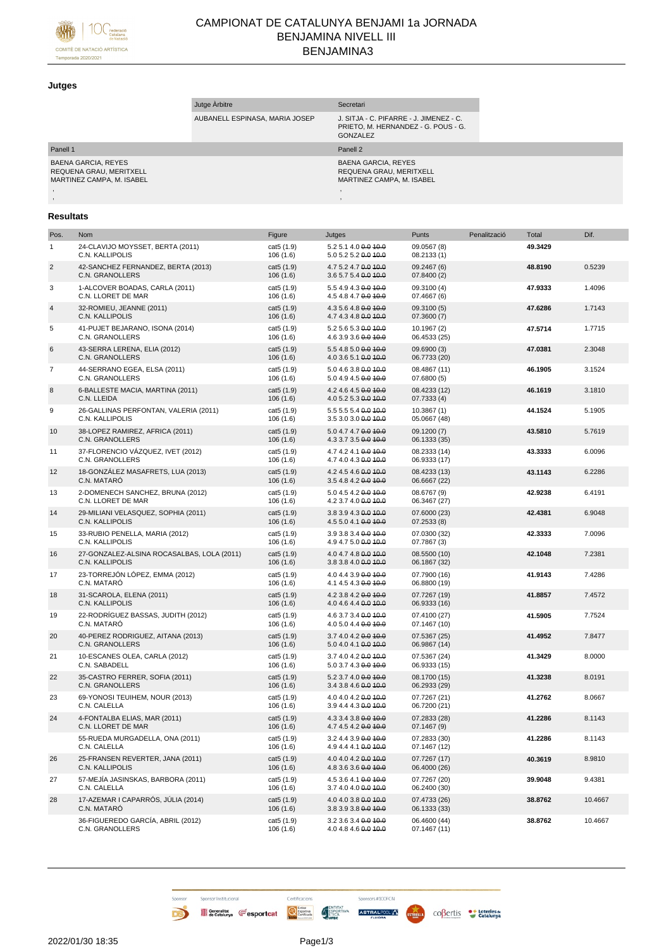

# CAMPIONAT DE CATALUNYA BENJAMI 1a JORNADA BENJAMINA NIVELL III BENJAMINA3

### **Jutges**

|                                                                             | Jutge Arbitre                  | Secretari                                                                                         |
|-----------------------------------------------------------------------------|--------------------------------|---------------------------------------------------------------------------------------------------|
|                                                                             | AUBANELL ESPINASA, MARIA JOSEP | J. SITJA - C. PIFARRE - J. JIMENEZ - C.<br>PRIETO, M. HERNANDEZ - G. POUS - G.<br><b>GONZALEZ</b> |
| Panell 1                                                                    |                                | Panell 2                                                                                          |
| BAENA GARCIA, REYES<br>REQUENA GRAU, MERITXELL<br>MARTINEZ CAMPA. M. ISABEL |                                | <b>BAENA GARCIA, REYES</b><br>REQUENA GRAU, MERITXELL<br>MARTINEZ CAMPA, M. ISABEL                |
|                                                                             |                                |                                                                                                   |
|                                                                             |                                |                                                                                                   |

## **Resultats**

| Pos.           | Nom                                                           | Figure                 | Jutges                                       | Punts                        | Penalització | Total   | Dif.    |
|----------------|---------------------------------------------------------------|------------------------|----------------------------------------------|------------------------------|--------------|---------|---------|
| 1              | 24-CLAVIJO MOYSSET, BERTA (2011)<br>C.N. KALLIPOLIS           | cat5 (1.9)<br>106(1.6) | 5.2 5.1 4.0 0.0 10.0<br>5.0 5.2 5.2 0.0 10.0 | 09.0567 (8)<br>08.2133 (1)   |              | 49.3429 |         |
| $\overline{2}$ | 42-SANCHEZ FERNANDEZ, BERTA (2013)<br>C.N. GRANOLLERS         | cat5 (1.9)<br>106(1.6) | 4.7 5.2 4.7 0.0 10.0<br>3.6 5.7 5.4 0.0 10.0 | 09.2467 (6)<br>07.8400 (2)   |              | 48.8190 | 0.5239  |
| 3              | 1-ALCOVER BOADAS, CARLA (2011)<br>C.N. LLORET DE MAR          | cat5 (1.9)<br>106(1.6) | 5.5 4.9 4.3 0.0 10.0<br>4.5 4.8 4.7 0.0 10.0 | 09.3100 (4)<br>07.4667 (6)   |              | 47.9333 | 1.4096  |
| $\overline{4}$ | 32-ROMIEU, JEANNE (2011)<br>C.N. KALLIPOLIS                   | cat5 (1.9)<br>106(1.6) | 4.3 5.6 4.8 0.0 10.0<br>4.7 4.3 4.8 0.0 10.0 | 09.3100 (5)<br>07.3600(7)    |              | 47.6286 | 1.7143  |
| 5              | 41-PUJET BEJARANO, ISONA (2014)<br>C.N. GRANOLLERS            | cat5 (1.9)<br>106(1.6) | 5.2 5.6 5.3 0.0 10.0<br>4.6 3.9 3.6 0.0 10.0 | 10.1967 (2)<br>06.4533 (25)  |              | 47.5714 | 1.7715  |
| 6              | 43-SERRA LERENA, ELIA (2012)<br>C.N. GRANOLLERS               | cat5 (1.9)<br>106(1.6) | 5.5 4.8 5.0 0.0 10.0<br>4.0 3.6 5.1 0.0 10.0 | 09.6900 (3)<br>06.7733 (20)  |              | 47.0381 | 2.3048  |
| 7              | 44-SERRANO EGEA, ELSA (2011)<br>C.N. GRANOLLERS               | cat5 (1.9)<br>106(1.6) | 5.0 4.6 3.8 0.0 10.0<br>5.0 4.9 4.5 0.0 10.0 | 08.4867 (11)<br>07.6800 (5)  |              | 46.1905 | 3.1524  |
| 8              | 6-BALLESTE MACIA, MARTINA (2011)<br>C.N. LLEIDA               | cat5 (1.9)<br>106(1.6) | 4.2 4.6 4.5 0.0 10.0<br>4.0 5.2 5.3 0.0 10.0 | 08.4233 (12)<br>07.7333 (4)  |              | 46.1619 | 3.1810  |
| 9              | 26-GALLINAS PERFONTAN, VALERIA (2011)<br>C.N. KALLIPOLIS      | cat5 (1.9)<br>106(1.6) | 5.5 5.5 5.4 0.0 10.0<br>3.5 3.0 3.0 0.0 40.0 | 10.3867(1)<br>05.0667 (48)   |              | 44.1524 | 5.1905  |
| 10             | 38-LOPEZ RAMIREZ, AFRICA (2011)<br>C.N. GRANOLLERS            | cat5 (1.9)<br>106(1.6) | 5.0 4.7 4.7 0.0 10.0<br>4.3 3.7 3.5 0.0 10.0 | 09.1200 (7)<br>06.1333 (35)  |              | 43.5810 | 5.7619  |
| 11             | 37-FLORENCIO VÁZQUEZ, IVET (2012)<br>C.N. GRANOLLERS          | cat5 (1.9)<br>106(1.6) | 4.7 4.2 4.1 0.0 40.0<br>4.7 4.0 4.3 0.0 10.0 | 08.2333 (14)<br>06.9333 (17) |              | 43.3333 | 6.0096  |
| 12             | 18-GONZÁLEZ MASAFRETS, LUA (2013)<br>C.N. MATARO              | cat5 (1.9)<br>106(1.6) | 4.2 4.5 4.6 0.0 10.0<br>3.5 4.8 4.2 0.0 10.0 | 08.4233 (13)<br>06.6667 (22) |              | 43.1143 | 6.2286  |
| 13             | 2-DOMENECH SANCHEZ, BRUNA (2012)<br>C.N. LLORET DE MAR        | cat5 (1.9)<br>106(1.6) | 5.0 4.5 4.2 0.0 10.0<br>4.2 3.7 4.0 0.0 10.0 | 08.6767 (9)<br>06.3467 (27)  |              | 42.9238 | 6.4191  |
| 14             | 29-MILIANI VELASQUEZ, SOPHIA (2011)<br>C.N. KALLIPOLIS        | cat5 (1.9)<br>106(1.6) | 3.8 3.9 4.3 0.0 10.0<br>4.5 5.0 4.1 0.0 10.0 | 07.6000 (23)<br>07.2533(8)   |              | 42.4381 | 6.9048  |
| 15             | 33-RUBIO PENELLA, MARIA (2012)<br>C.N. KALLIPOLIS             | cat5 (1.9)<br>106(1.6) | 3.9 3.8 3.4 0.0 10.0<br>4.9 4.7 5.0 0.0 10.0 | 07.0300 (32)<br>07.7867 (3)  |              | 42.3333 | 7.0096  |
| 16             | 27-GONZALEZ-ALSINA ROCASALBAS, LOLA (2011)<br>C.N. KALLIPOLIS | cat5 (1.9)<br>106(1.6) | 4.0 4.7 4.8 0.0 10.0<br>3.8 3.8 4.0 0.0 10.0 | 08.5500 (10)<br>06.1867 (32) |              | 42.1048 | 7.2381  |
| 17             | 23-TORREJÓN LÓPEZ, EMMA (2012)<br>C.N. MATARÓ                 | cat5 (1.9)<br>106(1.6) | 4.0 4.4 3.9 0.0 10.0<br>4.1 4.5 4.3 0.0 10.0 | 07.7900 (16)<br>06.8800 (19) |              | 41.9143 | 7.4286  |
| 18             | 31-SCAROLA, ELENA (2011)<br>C.N. KALLIPOLIS                   | cat5 (1.9)<br>106(1.6) | 4.2 3.8 4.2 0.0 10.0<br>4.0 4.6 4.4 0.0 10.0 | 07.7267 (19)<br>06.9333 (16) |              | 41.8857 | 7.4572  |
| 19             | 22-RODRÍGUEZ BASSAS, JUDITH (2012)<br>C.N. MATARÓ             | cat5 (1.9)<br>106(1.6) | 4.6 3.7 3.4 0.0 10.0<br>4.0 5.0 4.4 0.0 10.0 | 07.4100 (27)<br>07.1467 (10) |              | 41.5905 | 7.7524  |
| 20             | 40-PEREZ RODRIGUEZ, AITANA (2013)<br>C.N. GRANOLLERS          | cat5 (1.9)<br>106(1.6) | 3.7 4.0 4.2 0.0 10.0<br>5.0 4.0 4.1 0.0 10.0 | 07.5367 (25)<br>06.9867 (14) |              | 41.4952 | 7.8477  |
| 21             | 10-ESCANES OLEA, CARLA (2012)<br>C.N. SABADELL                | cat5 (1.9)<br>106(1.6) | 3.7 4.0 4.2 0.0 10.0<br>5.0 3.7 4.3 0.0 10.0 | 07.5367 (24)<br>06.9333 (15) |              | 41.3429 | 8.0000  |
| 22             | 35-CASTRO FERRER, SOFIA (2011)<br>C.N. GRANOLLERS             | cat5 (1.9)<br>106(1.6) | 5.2 3.7 4.0 0.0 10.0<br>3.4 3.8 4.6 0.0 10.0 | 08.1700 (15)<br>06.2933 (29) |              | 41.3238 | 8.0191  |
| 23             | 69-YONOSI TEUIHEM, NOUR (2013)<br>C.N. CALELLA                | cat5 (1.9)<br>106(1.6) | 4.0 4.0 4.2 0.0 10.0<br>3.9 4.4 4.3 0.0 10.0 | 07.7267 (21)<br>06.7200 (21) |              | 41.2762 | 8.0667  |
| 24             | 4-FONTALBA ELIAS, MAR (2011)<br>C.N. LLORET DE MAR            | cat5 (1.9)<br>106(1.6) | 4.3 3.4 3.8 0.0 10.0<br>4.7 4.5 4.2 0.0 10.0 | 07.2833 (28)<br>07.1467 (9)  |              | 41.2286 | 8.1143  |
|                | 55-RUEDA MURGADELLA, ONA (2011)<br>C.N. CALELLA               | cat5 (1.9)<br>106(1.6) | 3.2 4.4 3.9 0.0 10.0<br>4.9 4.4 4.1 0.0 10.0 | 07.2833 (30)<br>07.1467 (12) |              | 41.2286 | 8.1143  |
| 26             | 25-FRANSEN REVERTER, JANA (2011)<br>C.N. KALLIPOLIS           | cat5 (1.9)<br>106(1.6) | 4.0 4.0 4.2 0.0 10.0<br>4.8 3.6 3.6 0.0 10.0 | 07.7267 (17)<br>06.4000 (26) |              | 40.3619 | 8.9810  |
| 27             | 57-MEJÍA JASINSKAS, BARBORA (2011)<br>C.N. CALELLA            | cat5 (1.9)<br>106(1.6) | 4.5 3.6 4.1 0.0 10.0<br>3.7 4.0 4.0 0.0 10.0 | 07.7267 (20)<br>06.2400 (30) |              | 39.9048 | 9.4381  |
| 28             | 17-AZEMAR I CAPARRÓS, JÚLIA (2014)<br>C.N. MATARÓ             | cat5 (1.9)<br>106(1.6) | 4.0 4.0 3.8 0.0 10.0<br>3.8 3.9 3.8 0.0 10.0 | 07.4733 (26)<br>06.1333 (33) |              | 38.8762 | 10.4667 |
|                | 36-FIGUEREDO GARCÍA, ABRIL (2012)<br>C.N. GRANOLLERS          | cat5 (1.9)<br>106(1.6) | 3.2 3.6 3.4 0.0 10.0<br>4.0 4.8 4.6 0.0 10.0 | 06.4600 (44)<br>07.1467 (11) |              | 38.8762 | 10.4667 |

Sponsor Institucional

B

Sponsors #100FCN

**ASTRALPOOLA ESTRELLA** COBertis toteries and

Certificacions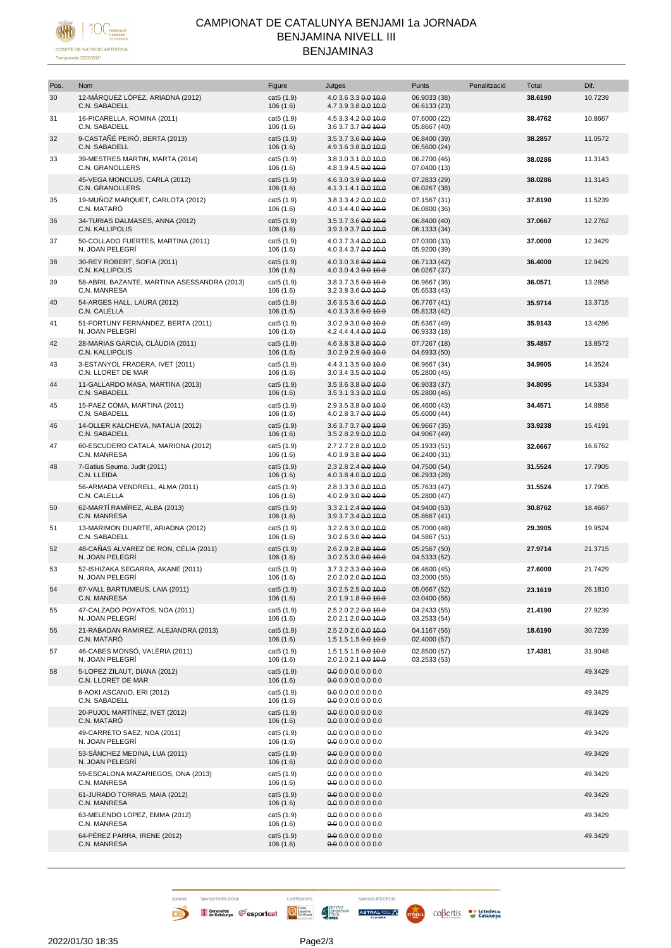

# CAMPIONAT DE CATALUNYA BENJAMI 1a JORNADA BENJAMINA NIVELL III BENJAMINA3

| Pos. | Nom                                                         | Figure                  | Jutges                                       | Punts                        | Penalització | Total   | Dif.    |
|------|-------------------------------------------------------------|-------------------------|----------------------------------------------|------------------------------|--------------|---------|---------|
| 30   | 12-MÁRQUEZ LÓPEZ, ARIADNA (2012)<br>C.N. SABADELL           | cat5 (1.9)<br>106(1.6)  | 4.0 3.6 3.3 0.0 10.0<br>4.7 3.9 3.8 0.0 10.0 | 06.9033 (38)<br>06.6133 (23) |              | 38.6190 | 10.7239 |
| 31   | 16-PICARELLA, ROMINA (2011)<br>C.N. SABADELL                | cat5 (1.9)<br>106(1.6)  | 4.5 3.3 4.2 0.0 10.0<br>3.6 3.7 3.7 0.0 10.0 | 07.6000 (22)<br>05.8667 (40) |              | 38.4762 | 10.8667 |
| 32   | 9-CASTAÑÉ PEIRÓ, BERTA (2013)<br>C.N. SABADELL              | cat5 (1.9)<br>106(1.6)  | 3.5 3.7 3.6 0.0 10.0<br>4.9 3.6 3.8 0.0 10.0 | 06.8400 (39)<br>06.5600 (24) |              | 38.2857 | 11.0572 |
| 33   | 39-MESTRES MARTIN, MARTA (2014)<br>C.N. GRANOLLERS          | cat5 (1.9)<br>106(1.6)  | 3.8 3.0 3.1 0.0 10.0<br>4.8 3.9 4.5 0.0 10.0 | 06.2700 (46)<br>07.0400 (13) |              | 38.0286 | 11.3143 |
|      | 45-VEGA MONCLUS, CARLA (2012)<br><b>C.N. GRANOLLERS</b>     | cat5 (1.9)<br>106(1.6)  | 4.6 3.0 3.9 0.0 10.0<br>4.1 3.1 4.1 0.0 10.0 | 07.2833 (29)<br>06.0267 (38) |              | 38.0286 | 11.3143 |
| 35   | 19-MUÑOZ MARQUET, CARLOTA (2012)<br>C.N. MATARÓ             | cat5 (1.9)<br>106(1.6)  | 3.8 3.3 4.2 0.0 10.0<br>4.0 3.4 4.0 0.0 40.0 | 07.1567 (31)<br>06.0800 (36) |              | 37.8190 | 11.5239 |
| 36   | 34-TURIAS DALMASES, ANNA (2012)<br>C.N. KALLIPOLIS          | cat5 (1.9)<br>106(1.6)  | 3.5 3.7 3.6 0.0 10.0<br>3.9 3.9 3.7 0.0 10.0 | 06.8400 (40)<br>06.1333 (34) |              | 37.0667 | 12.2762 |
| 37   | 50-COLLADO FUERTES, MARTINA (2011)<br>N. JOAN PELEGRÍ       | cat5 (1.9)<br>106(1.6)  | 4.0 3.7 3.4 0.0 10.0<br>4.0 3.4 3.7 0.0 10.0 | 07.0300 (33)<br>05.9200 (39) |              | 37.0000 | 12.3429 |
| 38   | 30-REY ROBERT, SOFIA (2011)<br>C.N. KALLIPOLIS              | cat5 (1.9)<br>106(1.6)  | 4.0 3.0 3.6 0.0 10.0<br>4.0 3.0 4.3 0.0 10.0 | 06.7133 (42)<br>06.0267 (37) |              | 36.4000 | 12.9429 |
| 39   | 58-ABRIL BAZANTE, MARTINA ASESSANDRA (2013)<br>C.N. MANRESA | cat5 (1.9)<br>106(1.6)  | 3.8 3.7 3.5 0.0 10.0<br>3.2 3.8 3.6 0.0 10.0 | 06.9667 (36)<br>05.6533 (43) |              | 36.0571 | 13.2858 |
| 40   | 54-ARGES HALL, LAURA (2012)<br>C.N. CALELLA                 | cat5 (1.9)<br>106(1.6)  | 3.6 3.5 3.6 0.0 10.0<br>4.0 3.3 3.6 0.0 10.0 | 06.7767 (41)<br>05.8133 (42) |              | 35.9714 | 13.3715 |
| 41   | 51-FORTUNY FERNÁNDEZ, BERTA (2011)<br>N. JOAN PELEGRÍ       | cat5 (1.9)<br>106(1.6)  | $3.02.93.0$ $0.010$<br>4.2 4.4 4.4 0.0 10.0  | 05.6367 (49)<br>06.9333 (18) |              | 35.9143 | 13.4286 |
| 42   | 28-MARIAS GARCIA, CLÀUDIA (2011)<br>C.N. KALLIPOLIS         | cat5 (1.9)<br>106(1.6)  | 4.6 3.8 3.8 0.0 10.0<br>3.0 2.9 2.9 0.0 10.0 | 07.7267 (18)<br>04.6933 (50) |              | 35.4857 | 13.8572 |
| 43   | 3-ESTANYOL FRADERA, IVET (2011)<br>C.N. LLORET DE MAR       | cat5 (1.9)<br>106(1.6)  | 4.4 3.1 3.5 0.0 10.0<br>3.0 3.4 3.5 0.0 10.0 | 06.9667 (34)<br>05.2800 (45) |              | 34.9905 | 14.3524 |
| 44   | 11-GALLARDO MASA, MARTINA (2013)<br>C.N. SABADELL           | cat5 (1.9)<br>106(1.6)  | 3.5 3.6 3.8 0.0 10.0<br>3.5 3.1 3.3 0.0 10.0 | 06.9033 (37)<br>05.2800 (46) |              | 34.8095 | 14.5334 |
| 45   | 15-PAEZ COMA, MARTINA (2011)<br>C.N. SABADELL               | cat5 (1.9)<br>106(1.6)  | 2.9 3.5 3.8 0.0 10.0<br>4.0 2.8 3.7 0.0 10.0 | 06.4600 (43)<br>05.6000 (44) |              | 34.4571 | 14.8858 |
| 46   | 14-OLLER KALCHEVA, NATALIA (2012)<br>C.N. SABADELL          | cat5 (1.9)<br>106(1.6)  | 3.6 3.7 3.7 0.0 10.0<br>3.5 2.8 2.9 0.0 10.0 | 06.9667 (35)<br>04.9067 (49) |              | 33.9238 | 15.4191 |
| 47   | 60-ESCUDERO CATALÀ, MARIONA (2012)<br>C.N. MANRESA          | cat5 (1.9)<br>106(1.6)  | 2.7 2.7 2.8 0.0 10.0<br>4.0 3.9 3.8 0.0 10.0 | 05.1933 (51)<br>06.2400 (31) |              | 32.6667 | 16.6762 |
| 48   | 7-Gatius Seuma, Judit (2011)<br>C.N. LLEIDA                 | cat5 (1.9)<br>106(1.6)  | 2.3 2.8 2.4 0.0 10.0<br>4.0 3.8 4.0 0.0 10.0 | 04.7500 (54)<br>06.2933 (28) |              | 31.5524 | 17.7905 |
|      | 56-ARMADA VENDRELL, ALMA (2011)<br>C.N. CALELLA             | cat5 (1.9)<br>106(1.6)  | 2.8 3.3 3.0 0.0 10.0<br>4.0 2.9 3.0 0.0 10.0 | 05.7633 (47)<br>05.2800 (47) |              | 31.5524 | 17.7905 |
| 50   | 62-MARTÍ RAMÍREZ, ALBA (2013)<br>C.N. MANRESA               | cat5 (1.9)<br>106(1.6)  | 3.3 2.1 2.4 0.0 10.0<br>3.9 3.7 3.4 0.0 10.0 | 04.9400 (53)<br>05.8667 (41) |              | 30.8762 | 18.4667 |
| 51   | 13-MARIMON DUARTE, ARIADNA (2012)<br>C.N. SABADELL          | cat5 (1.9)<br>106(1.6)  | 3.2 2.8 3.0 0.0 10.0<br>3.0 2.6 3.0 0.0 10.0 | 05.7000 (48)<br>04.5867 (51) |              | 29.3905 | 19.9524 |
| 52   | 48-CAÑAS ALVAREZ DE RON, CÈLIA (2011)<br>N. JOAN PELEGRÍ    | cat5 (1.9)<br>106(1.6)  | 2.6 2.9 2.8 0.0 10.0<br>3.0 2.5 3.0 0.0 10.0 | 05.2567 (50)<br>04.5333 (52) |              | 27.9714 | 21.3715 |
| 53   | 52-ISHIZAKA SEGARRA, AKANE (2011)<br>N. JOAN PELEGRÍ        | cat5 (1.9)<br>106 (1.6) | 3.7 3.2 3.3 0.0 10.0<br>2.0 2.0 2.0 0.0 40.0 | 06.4600 (45)<br>03.2000 (55) |              | 27.6000 | 21.7429 |
| 54   | 67-VALL BARTUMEUS, LAIA (2011)<br>C.N. MANRESA              | cat5 (1.9)<br>106(1.6)  | 3.02.52.5000100<br>2.0 1.9 1.8 0.0 10.0      | 05.0667 (52)<br>03.0400 (56) |              | 23.1619 | 26.1810 |
| 55   | 47-CALZADO POYATOS, NOA (2011)<br>N. JOAN PELEGRÍ           | cat5 (1.9)<br>106(1.6)  | 2.5 2.0 2.2 0.0 10.0<br>2.0 2.1 2.0 0.0 10.0 | 04.2433 (55)<br>03.2533 (54) |              | 21.4190 | 27.9239 |
| 56   | 21-RABADAN RAMIREZ, ALEJANDRA (2013)<br>C.N. MATARÓ         | cat5 (1.9)<br>106(1.6)  | 2.5 2.0 2.0 0.0 10.0<br>1.5 1.5 1.5 0.0 10.0 | 04.1167 (56)<br>02.4000 (57) |              | 18.6190 | 30.7239 |
| 57   | 46-CABES MONSÓ, VALÈRIA (2011)<br>N. JOAN PELEGRÍ           | cat5 (1.9)<br>106(1.6)  | 1.5 1.5 1.5 0.0 10.0<br>2.0 2.0 2.1 0.0 10.0 | 02.8500 (57)<br>03.2533 (53) |              | 17.4381 | 31.9048 |
| 58   | 5-LOPEZ ZILAUT, DIANA (2012)<br>C.N. LLORET DE MAR          | cat5 (1.9)<br>106(1.6)  | 0.00000000000<br>0.00000000000               |                              |              |         | 49.3429 |
|      | 8-AOKI ASCANIO, ERI (2012)<br>C.N. SABADELL                 | cat5 (1.9)<br>106(1.6)  | 0.0 0.0 0.0 0.0 0.0<br>0.0 0.0 0.0 0.0 0.0   |                              |              |         | 49.3429 |
|      | 20-PUJOL MARTÍNEZ, IVET (2012)<br>C.N. MATARÓ               | cat5 (1.9)<br>106(1.6)  | 0.00000000000<br>0.0 0.0 0.0 0.0 0.0         |                              |              |         | 49.3429 |
|      | 49-CARRETO SAEZ, NOA (2011)<br>N. JOAN PELEGRÍ              | cat5 (1.9)<br>106(1.6)  | 0.00000000000<br>0.0000000000                |                              |              |         | 49.3429 |
|      | 53-SÁNCHEZ MEDINA, LUA (2011)<br>N. JOAN PELEGRÍ            | cat5 (1.9)<br>106(1.6)  | 0.00000000000<br>0.0 0.0 0.0 0.0 0.0         |                              |              |         | 49.3429 |
|      | 59-ESCALONA MAZARIEGOS, ONA (2013)<br>C.N. MANRESA          | cat5 (1.9)<br>106(1.6)  | 0.0000000000<br>0.0000000000                 |                              |              |         | 49.3429 |
|      | 61-JURADO TORRAS, MAIA (2012)<br>C.N. MANRESA               | cat5 (1.9)<br>106(1.6)  | 0.00000000000<br>0.0 0.0 0.0 0.0 0.0         |                              |              |         | 49.3429 |
|      | 63-MELENDO LOPEZ, EMMA (2012)<br>C.N. MANRESA               | cat5 (1.9)<br>106(1.6)  | 0.0 0.0 0.0 0.0 0.0<br>0.0 0.0 0.0 0.0 0.0   |                              |              |         | 49.3429 |
|      | 64-PÉREZ PARRA, IRENE (2012)<br>C.N. MANRESA                | cat5 (1.9)<br>106(1.6)  | 0.0000000000<br>0.00000000000                |                              |              |         | 49.3429 |

Certificacions

Sponsor Institucional

Sponso

D

Sponsors #100FCN

Constantint Sesportcat Communication ASTRALESCO AND COBerlis Catalogue